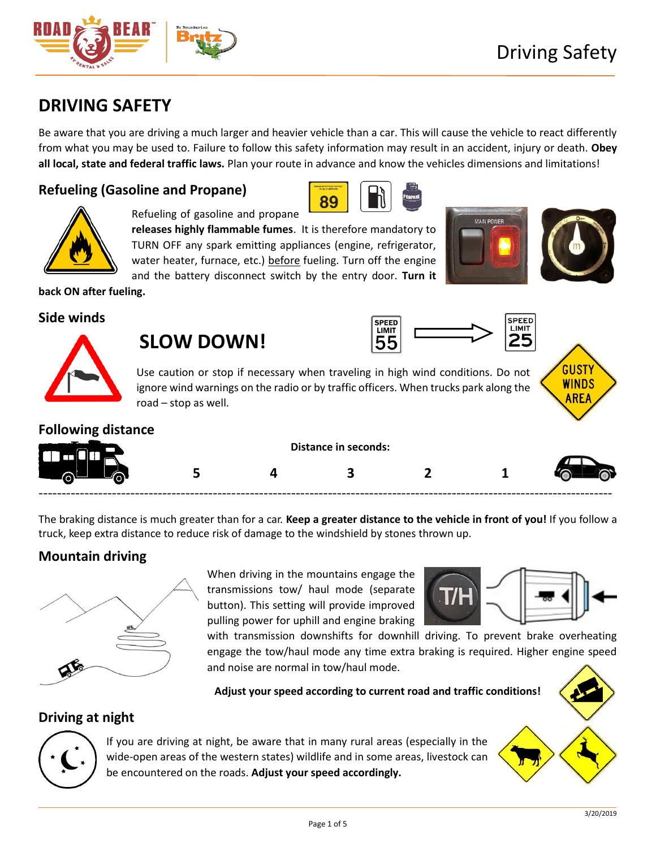# **DRIVING SAFETY**

Be aware that you are driving a much larger and heavier vehicle than a car. This will cause the vehicle to react differently from what you may be used to. Failure to follow this safety information may result in an accident, injury or death. **Obey all local, state and federal traffic laws.** Plan your route in advance and know the vehicles dimensions and limitations!

## **Refueling (Gasoline and Propane)**





Refueling of gasoline and propane

**releases highly flammable fumes**. It is therefore mandatory to TURN OFF any spark emitting appliances (engine, refrigerator, water heater, furnace, etc.) before fueling. Turn off the engine and the battery disconnect switch by the entry door. **Turn it** 



**back ON after fueling.**

#### **Side winds**



# **SLOW DOWN!**





Use caution or stop if necessary when traveling in high wind conditions. Do not ignore wind warnings on the radio or by traffic officers. When trucks park along the road – stop as well.

## **Following distance**

|   | <b>Distance in seconds:</b> |  |  |  |  |
|---|-----------------------------|--|--|--|--|
| ∽ |                             |  |  |  |  |

The braking distance is much greater than for a car. **Keep a greater distance to the vehicle in front of you!** If you follow a truck, keep extra distance to reduce risk of damage to the windshield by stones thrown up.

## **Mountain driving**



When driving in the mountains engage the transmissions tow/ haul mode (separate button). This setting will provide improved pulling power for uphill and engine braking



with transmission downshifts for downhill driving. To prevent brake overheating engage the tow/haul mode any time extra braking is required. Higher engine speed and noise are normal in tow/haul mode.

**Adjust your speed according to current road and traffic conditions!**

## **Driving at night**



If you are driving at night, be aware that in many rural areas (especially in the wide-open areas of the western states) wildlife and in some areas, livestock can be encountered on the roads. **Adjust your speed accordingly.**

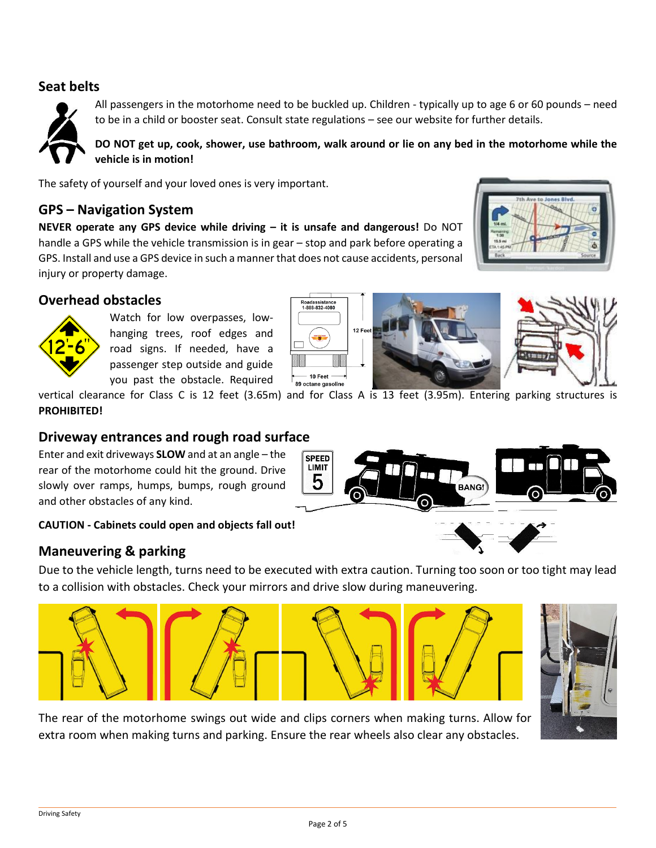#### **Seat belts**



All passengers in the motorhome need to be buckled up. Children - typically up to age 6 or 60 pounds – need to be in a child or booster seat. Consult state regulations – see our website for further details.

**DO NOT get up, cook, shower, use bathroom, walk around or lie on any bed in the motorhome while the vehicle is in motion!**

The safety of yourself and your loved ones is very important.

#### **GPS – Navigation System**

**NEVER operate any GPS device while driving – it is unsafe and dangerous!** Do NOT handle a GPS while the vehicle transmission is in gear – stop and park before operating a GPS. Install and use a GPS device in such a manner that does not cause accidents, personal injury or property damage.



#### **Overhead obstacles**



Watch for low overpasses, lowhanging trees, roof edges and road signs. If needed, have a passenger step outside and guide you past the obstacle. Required





**BANG!** 

vertical clearance for Class C is 12 feet (3.65m) and for Class A is 13 feet (3.95m). Entering parking structures is **PROHIBITED!**

> **SPEED** LIMIT ხ

## **Driveway entrances and rough road surface**

Enter and exit driveways **SLOW** and at an angle – the rear of the motorhome could hit the ground. Drive slowly over ramps, humps, bumps, rough ground and other obstacles of any kind.

#### **CAUTION - Cabinets could open and objects fall out!**

#### **Maneuvering & parking**

Due to the vehicle length, turns need to be executed with extra caution. Turning too soon or too tight may lead to a collision with obstacles. Check your mirrors and drive slow during maneuvering.





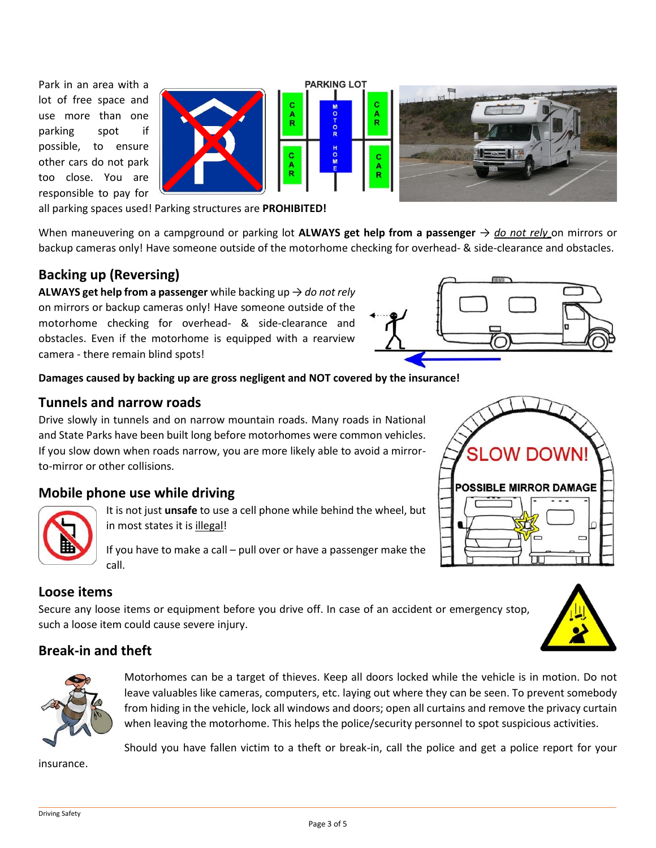Park in an area with a lot of free space and use more than one parking spot if possible, to ensure other cars do not park too close. You are responsible to pay for



all parking spaces used! Parking structures are **PROHIBITED!**

When maneuvering on a campground or parking lot **ALWAYS get help from a passenger** → *do not rely* on mirrors or backup cameras only! Have someone outside of the motorhome checking for overhead- & side-clearance and obstacles.

#### **Backing up (Reversing)**

**ALWAYS get help from a passenger** while backing up → *do not rely* on mirrors or backup cameras only! Have someone outside of the motorhome checking for overhead- & side-clearance and obstacles. Even if the motorhome is equipped with a rearview camera - there remain blind spots!



#### **Damages caused by backing up are gross negligent and NOT covered by the insurance!**

#### **Tunnels and narrow roads**

Drive slowly in tunnels and on narrow mountain roads. Many roads in National and State Parks have been built long before motorhomes were common vehicles. If you slow down when roads narrow, you are more likely able to avoid a mirrorto-mirror or other collisions.

#### **Mobile phone use while driving**



It is not just **unsafe** to use a cell phone while behind the wheel, but in most states it is illegal!

If you have to make a call – pull over or have a passenger make the call.

#### **Loose items**

Secure any loose items or equipment before you drive off. In case of an accident or emergency stop, such a loose item could cause severe injury.

#### **Break-in and theft**



Motorhomes can be a target of thieves. Keep all doors locked while the vehicle is in motion. Do not leave valuables like cameras, computers, etc. laying out where they can be seen. To prevent somebody from hiding in the vehicle, lock all windows and doors; open all curtains and remove the privacy curtain when leaving the motorhome. This helps the police/security personnel to spot suspicious activities.

Should you have fallen victim to a theft or break-in, call the police and get a police report for your

insurance.

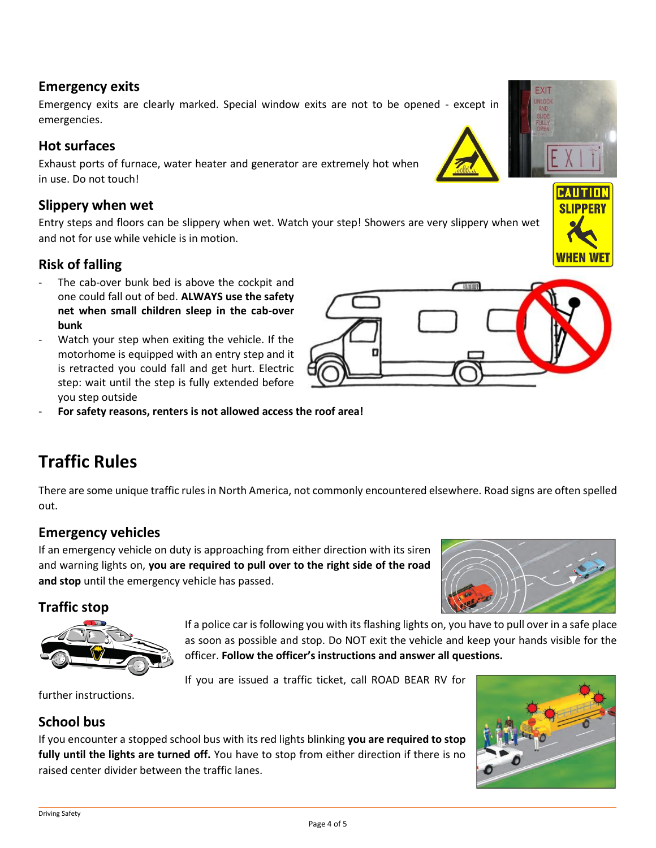#### **Emergency exits**

Emergency exits are clearly marked. Special window exits are not to be opened - except in emergencies.

#### **Hot surfaces**

Exhaust ports of furnace, water heater and generator are extremely hot when in use. Do not touch!

#### **Slippery when wet**

Entry steps and floors can be slippery when wet. Watch your step! Showers are very slippery when wet and not for use while vehicle is in motion.

## **Risk of falling**

- The cab-over bunk bed is above the cockpit and one could fall out of bed. **ALWAYS use the safety net when small children sleep in the cab-over bunk**
- Watch your step when exiting the vehicle. If the motorhome is equipped with an entry step and it is retracted you could fall and get hurt. Electric step: wait until the step is fully extended before you step outside
- **For safety reasons, renters is not allowed access the roof area!**

# **Traffic Rules**

There are some unique traffic rules in North America, not commonly encountered elsewhere. Road signs are often spelled out.

## **Emergency vehicles**

If an emergency vehicle on duty is approaching from either direction with its siren and warning lights on, **you are required to pull over to the right side of the road and stop** until the emergency vehicle has passed.

## **Traffic stop**

If a police car is following you with its flashing lights on, you have to pull over in a safe place as soon as possible and stop. Do NOT exit the vehicle and keep your hands visible for the officer. **Follow the officer's instructions and answer all questions.**

If you are issued a traffic ticket, call ROAD BEAR RV for

further instructions.

## **School bus**

If you encounter a stopped school bus with its red lights blinking **you are required to stop fully until the lights are turned off.** You have to stop from either direction if there is no raised center divider between the traffic lanes.